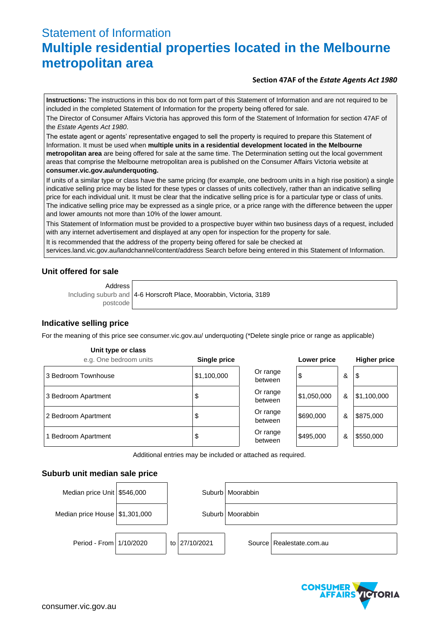# Statement of Information **Multiple residential properties located in the Melbourne metropolitan area**

### **Section 47AF of the** *Estate Agents Act 1980*

**Instructions:** The instructions in this box do not form part of this Statement of Information and are not required to be included in the completed Statement of Information for the property being offered for sale.

The Director of Consumer Affairs Victoria has approved this form of the Statement of Information for section 47AF of the *Estate Agents Act 1980*.

The estate agent or agents' representative engaged to sell the property is required to prepare this Statement of Information. It must be used when **multiple units in a residential development located in the Melbourne metropolitan area** are being offered for sale at the same time. The Determination setting out the local government areas that comprise the Melbourne metropolitan area is published on the Consumer Affairs Victoria website at **consumer.vic.gov.au/underquoting.**

If units of a similar type or class have the same pricing (for example, one bedroom units in a high rise position) a single indicative selling price may be listed for these types or classes of units collectively, rather than an indicative selling price for each individual unit. It must be clear that the indicative selling price is for a particular type or class of units. The indicative selling price may be expressed as a single price, or a price range with the difference between the upper and lower amounts not more than 10% of the lower amount.

This Statement of Information must be provided to a prospective buyer within two business days of a request, included with any internet advertisement and displayed at any open for inspection for the property for sale.

It is recommended that the address of the property being offered for sale be checked at

services.land.vic.gov.au/landchannel/content/address Search before being entered in this Statement of Information.

## **Unit offered for sale**

Address

Including suburb and postcode 4-6 Horscroft Place, Moorabbin, Victoria, 3189

# **Indicative selling price**

For the meaning of this price see consumer.vic.gov.au/ underquoting (\*Delete single price or range as applicable)

#### **Unit type or class**

| e.g. One bedroom units | <b>Single price</b> |                     | Lower price |   | <b>Higher price</b> |
|------------------------|---------------------|---------------------|-------------|---|---------------------|
| 3 Bedroom Townhouse    | \$1,100,000         | Or range<br>between | \$          | & | \$                  |
| 3 Bedroom Apartment    | \$                  | Or range<br>between | \$1,050,000 | & | \$1,100,000         |
| 2 Bedroom Apartment    | \$                  | Or range<br>between | \$690,000   | & | \$875,000           |
| 1 Bedroom Apartment    | \$                  | Or range<br>between | \$495,000   | & | \$550,000           |

Additional entries may be included or attached as required.

#### **Suburb unit median sale price**